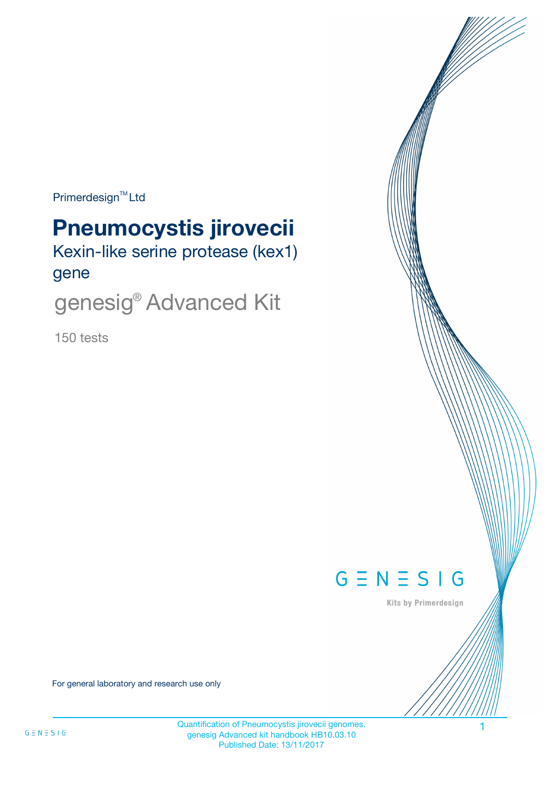$Primerdesign^{\text{TM}}Ltd$ 

# **Pneumocystis jirovecii**

Kexin-like serine protease (kex1) gene

genesig® Advanced Kit

150 tests



Kits by Primerdesign

For general laboratory and research use only

Quantification of Pneumocystis jirovecii genomes. 1 genesig Advanced kit handbook HB10.03.10 Published Date: 13/11/2017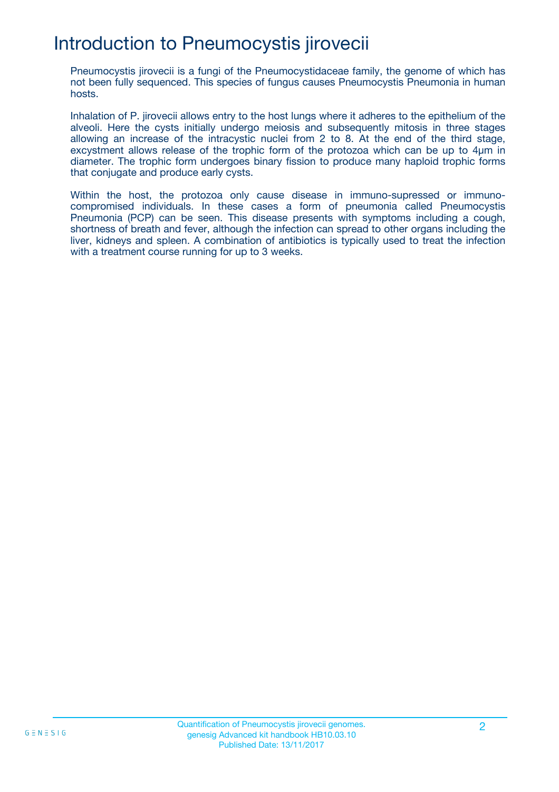# Introduction to Pneumocystis jirovecii

Pneumocystis jirovecii is a fungi of the Pneumocystidaceae family, the genome of which has not been fully sequenced. This species of fungus causes Pneumocystis Pneumonia in human hosts.

Inhalation of P. jirovecii allows entry to the host lungs where it adheres to the epithelium of the alveoli. Here the cysts initially undergo meiosis and subsequently mitosis in three stages allowing an increase of the intracystic nuclei from 2 to 8. At the end of the third stage, excystment allows release of the trophic form of the protozoa which can be up to 4µm in diameter. The trophic form undergoes binary fission to produce many haploid trophic forms that conjugate and produce early cysts.

Within the host, the protozoa only cause disease in immuno-supressed or immunocompromised individuals. In these cases a form of pneumonia called Pneumocystis Pneumonia (PCP) can be seen. This disease presents with symptoms including a cough, shortness of breath and fever, although the infection can spread to other organs including the liver, kidneys and spleen. A combination of antibiotics is typically used to treat the infection with a treatment course running for up to 3 weeks.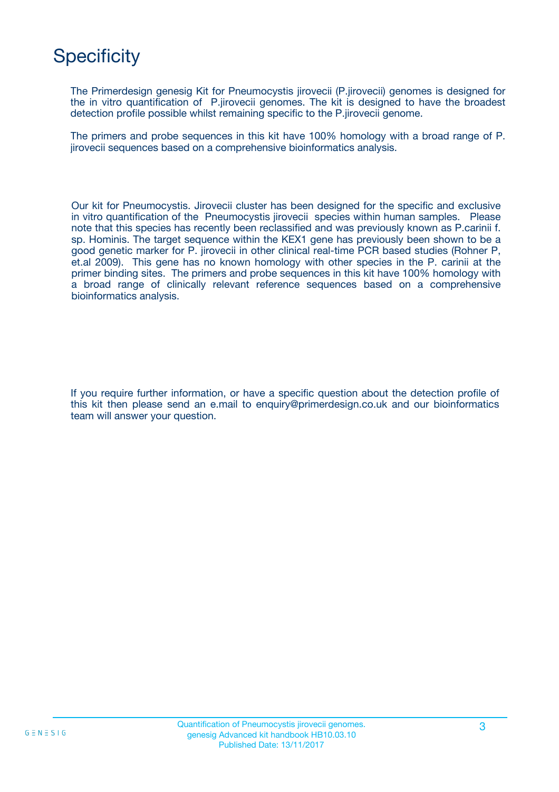# **Specificity**

The Primerdesign genesig Kit for Pneumocystis jirovecii (P.jirovecii) genomes is designed for the in vitro quantification of P.jirovecii genomes. The kit is designed to have the broadest detection profile possible whilst remaining specific to the P.jirovecii genome.

The primers and probe sequences in this kit have 100% homology with a broad range of P. jirovecii sequences based on a comprehensive bioinformatics analysis.

Our kit for Pneumocystis. Jirovecii cluster has been designed for the specific and exclusive in vitro quantification of the Pneumocystis jirovecii species within human samples. Please note that this species has recently been reclassified and was previously known as P.carinii f. sp. Hominis. The target sequence within the KEX1 gene has previously been shown to be a good genetic marker for P. jirovecii in other clinical real-time PCR based studies (Rohner P, et.al 2009). This gene has no known homology with other species in the P. carinii at the primer binding sites. The primers and probe sequences in this kit have 100% homology with a broad range of clinically relevant reference sequences based on a comprehensive bioinformatics analysis.

If you require further information, or have a specific question about the detection profile of this kit then please send an e.mail to enquiry@primerdesign.co.uk and our bioinformatics team will answer your question.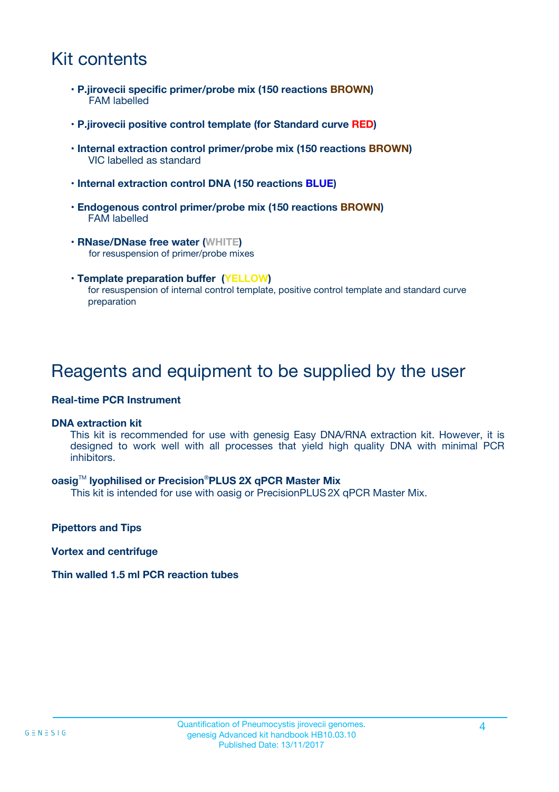## Kit contents

- **P.jirovecii specific primer/probe mix (150 reactions BROWN)** FAM labelled
- **P.jirovecii positive control template (for Standard curve RED)**
- **Internal extraction control primer/probe mix (150 reactions BROWN)** VIC labelled as standard
- **Internal extraction control DNA (150 reactions BLUE)**
- **Endogenous control primer/probe mix (150 reactions BROWN)** FAM labelled
- **RNase/DNase free water (WHITE)** for resuspension of primer/probe mixes
- **Template preparation buffer (YELLOW)** for resuspension of internal control template, positive control template and standard curve preparation

### Reagents and equipment to be supplied by the user

#### **Real-time PCR Instrument**

#### **DNA extraction kit**

This kit is recommended for use with genesig Easy DNA/RNA extraction kit. However, it is designed to work well with all processes that yield high quality DNA with minimal PCR inhibitors.

#### **oasig**TM **lyophilised or Precision**®**PLUS 2X qPCR Master Mix**

This kit is intended for use with oasig or PrecisionPLUS2X qPCR Master Mix.

**Pipettors and Tips**

**Vortex and centrifuge**

#### **Thin walled 1.5 ml PCR reaction tubes**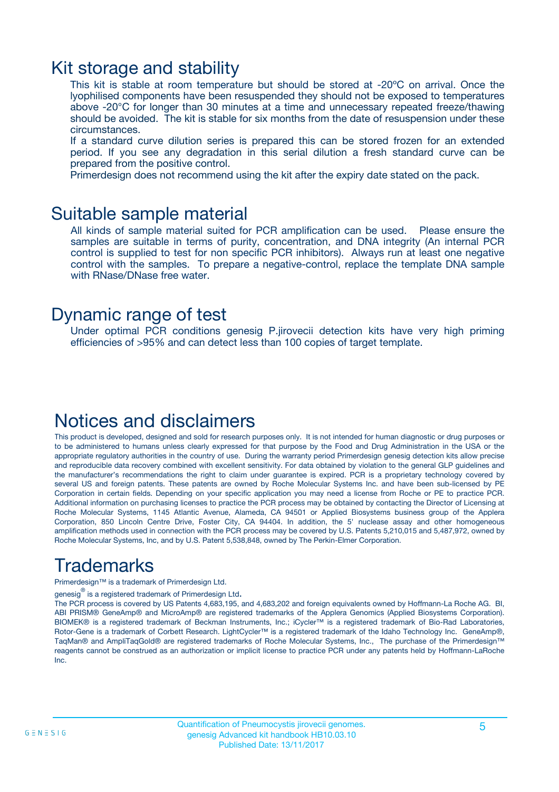### Kit storage and stability

This kit is stable at room temperature but should be stored at -20ºC on arrival. Once the lyophilised components have been resuspended they should not be exposed to temperatures above -20°C for longer than 30 minutes at a time and unnecessary repeated freeze/thawing should be avoided. The kit is stable for six months from the date of resuspension under these circumstances.

If a standard curve dilution series is prepared this can be stored frozen for an extended period. If you see any degradation in this serial dilution a fresh standard curve can be prepared from the positive control.

Primerdesign does not recommend using the kit after the expiry date stated on the pack.

### Suitable sample material

All kinds of sample material suited for PCR amplification can be used. Please ensure the samples are suitable in terms of purity, concentration, and DNA integrity (An internal PCR control is supplied to test for non specific PCR inhibitors). Always run at least one negative control with the samples. To prepare a negative-control, replace the template DNA sample with RNase/DNase free water.

### Dynamic range of test

Under optimal PCR conditions genesig P.jirovecii detection kits have very high priming efficiencies of >95% and can detect less than 100 copies of target template.

### Notices and disclaimers

This product is developed, designed and sold for research purposes only. It is not intended for human diagnostic or drug purposes or to be administered to humans unless clearly expressed for that purpose by the Food and Drug Administration in the USA or the appropriate regulatory authorities in the country of use. During the warranty period Primerdesign genesig detection kits allow precise and reproducible data recovery combined with excellent sensitivity. For data obtained by violation to the general GLP guidelines and the manufacturer's recommendations the right to claim under guarantee is expired. PCR is a proprietary technology covered by several US and foreign patents. These patents are owned by Roche Molecular Systems Inc. and have been sub-licensed by PE Corporation in certain fields. Depending on your specific application you may need a license from Roche or PE to practice PCR. Additional information on purchasing licenses to practice the PCR process may be obtained by contacting the Director of Licensing at Roche Molecular Systems, 1145 Atlantic Avenue, Alameda, CA 94501 or Applied Biosystems business group of the Applera Corporation, 850 Lincoln Centre Drive, Foster City, CA 94404. In addition, the 5' nuclease assay and other homogeneous amplification methods used in connection with the PCR process may be covered by U.S. Patents 5,210,015 and 5,487,972, owned by Roche Molecular Systems, Inc, and by U.S. Patent 5,538,848, owned by The Perkin-Elmer Corporation.

# Trademarks

Primerdesign™ is a trademark of Primerdesign Ltd.

genesig $^\circledR$  is a registered trademark of Primerdesign Ltd.

The PCR process is covered by US Patents 4,683,195, and 4,683,202 and foreign equivalents owned by Hoffmann-La Roche AG. BI, ABI PRISM® GeneAmp® and MicroAmp® are registered trademarks of the Applera Genomics (Applied Biosystems Corporation). BIOMEK® is a registered trademark of Beckman Instruments, Inc.; iCycler™ is a registered trademark of Bio-Rad Laboratories, Rotor-Gene is a trademark of Corbett Research. LightCycler™ is a registered trademark of the Idaho Technology Inc. GeneAmp®, TaqMan® and AmpliTaqGold® are registered trademarks of Roche Molecular Systems, Inc., The purchase of the Primerdesign™ reagents cannot be construed as an authorization or implicit license to practice PCR under any patents held by Hoffmann-LaRoche Inc.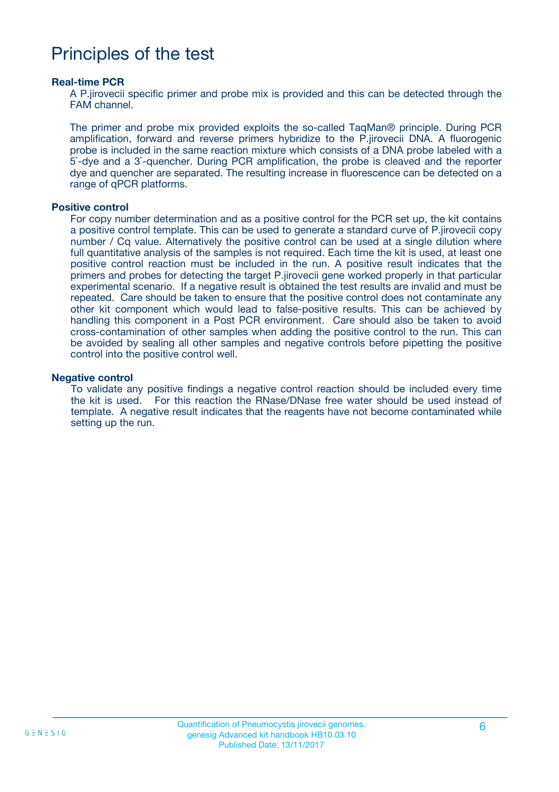### Principles of the test

#### **Real-time PCR**

A P.jirovecii specific primer and probe mix is provided and this can be detected through the FAM channel.

The primer and probe mix provided exploits the so-called TaqMan® principle. During PCR amplification, forward and reverse primers hybridize to the P.jirovecii DNA. A fluorogenic probe is included in the same reaction mixture which consists of a DNA probe labeled with a 5`-dye and a 3`-quencher. During PCR amplification, the probe is cleaved and the reporter dye and quencher are separated. The resulting increase in fluorescence can be detected on a range of qPCR platforms.

#### **Positive control**

For copy number determination and as a positive control for the PCR set up, the kit contains a positive control template. This can be used to generate a standard curve of P.jirovecii copy number / Cq value. Alternatively the positive control can be used at a single dilution where full quantitative analysis of the samples is not required. Each time the kit is used, at least one positive control reaction must be included in the run. A positive result indicates that the primers and probes for detecting the target P.jirovecii gene worked properly in that particular experimental scenario. If a negative result is obtained the test results are invalid and must be repeated. Care should be taken to ensure that the positive control does not contaminate any other kit component which would lead to false-positive results. This can be achieved by handling this component in a Post PCR environment. Care should also be taken to avoid cross-contamination of other samples when adding the positive control to the run. This can be avoided by sealing all other samples and negative controls before pipetting the positive control into the positive control well.

#### **Negative control**

To validate any positive findings a negative control reaction should be included every time the kit is used. For this reaction the RNase/DNase free water should be used instead of template. A negative result indicates that the reagents have not become contaminated while setting up the run.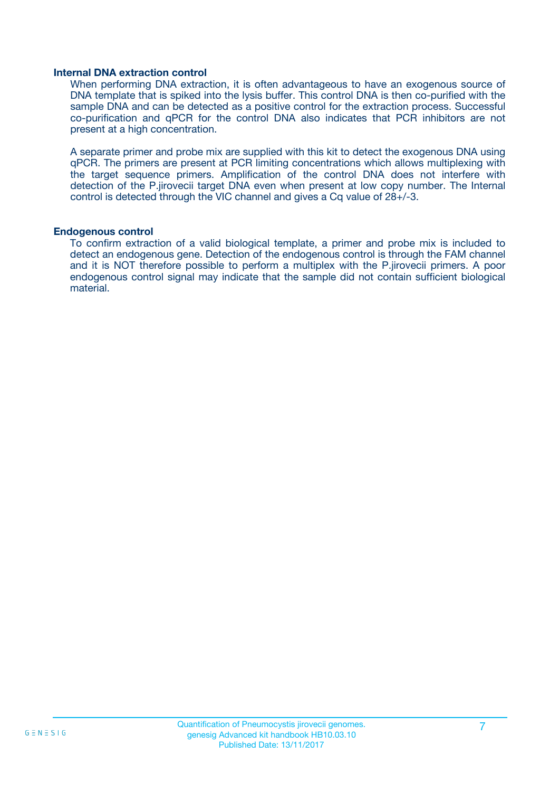#### **Internal DNA extraction control**

When performing DNA extraction, it is often advantageous to have an exogenous source of DNA template that is spiked into the lysis buffer. This control DNA is then co-purified with the sample DNA and can be detected as a positive control for the extraction process. Successful co-purification and qPCR for the control DNA also indicates that PCR inhibitors are not present at a high concentration.

A separate primer and probe mix are supplied with this kit to detect the exogenous DNA using qPCR. The primers are present at PCR limiting concentrations which allows multiplexing with the target sequence primers. Amplification of the control DNA does not interfere with detection of the P.jirovecii target DNA even when present at low copy number. The Internal control is detected through the VIC channel and gives a Cq value of 28+/-3.

#### **Endogenous control**

To confirm extraction of a valid biological template, a primer and probe mix is included to detect an endogenous gene. Detection of the endogenous control is through the FAM channel and it is NOT therefore possible to perform a multiplex with the P.jirovecii primers. A poor endogenous control signal may indicate that the sample did not contain sufficient biological material.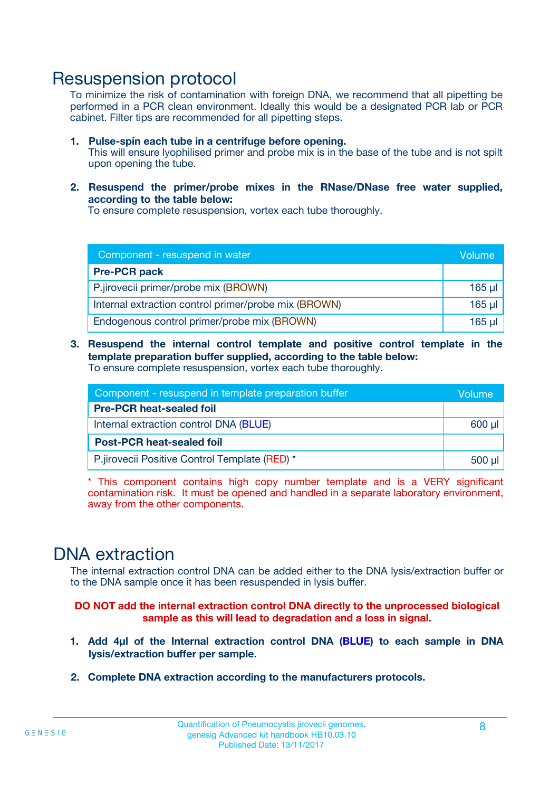### Resuspension protocol

To minimize the risk of contamination with foreign DNA, we recommend that all pipetting be performed in a PCR clean environment. Ideally this would be a designated PCR lab or PCR cabinet. Filter tips are recommended for all pipetting steps.

- **1. Pulse-spin each tube in a centrifuge before opening.** This will ensure lyophilised primer and probe mix is in the base of the tube and is not spilt upon opening the tube.
- **2. Resuspend the primer/probe mixes in the RNase/DNase free water supplied, according to the table below:**

To ensure complete resuspension, vortex each tube thoroughly.

| Component - resuspend in water                       |             |  |
|------------------------------------------------------|-------------|--|
| <b>Pre-PCR pack</b>                                  |             |  |
| P.jirovecii primer/probe mix (BROWN)                 | $165$ $\mu$ |  |
| Internal extraction control primer/probe mix (BROWN) | $165$ $\mu$ |  |
| Endogenous control primer/probe mix (BROWN)          | $165$ µl    |  |

**3. Resuspend the internal control template and positive control template in the template preparation buffer supplied, according to the table below:** To ensure complete resuspension, vortex each tube thoroughly.

| Component - resuspend in template preparation buffer |  |  |  |
|------------------------------------------------------|--|--|--|
| <b>Pre-PCR heat-sealed foil</b>                      |  |  |  |
| Internal extraction control DNA (BLUE)               |  |  |  |
| <b>Post-PCR heat-sealed foil</b>                     |  |  |  |
| P.jirovecii Positive Control Template (RED) *        |  |  |  |

\* This component contains high copy number template and is a VERY significant contamination risk. It must be opened and handled in a separate laboratory environment, away from the other components.

### DNA extraction

The internal extraction control DNA can be added either to the DNA lysis/extraction buffer or to the DNA sample once it has been resuspended in lysis buffer.

**DO NOT add the internal extraction control DNA directly to the unprocessed biological sample as this will lead to degradation and a loss in signal.**

- **1. Add 4µl of the Internal extraction control DNA (BLUE) to each sample in DNA lysis/extraction buffer per sample.**
- **2. Complete DNA extraction according to the manufacturers protocols.**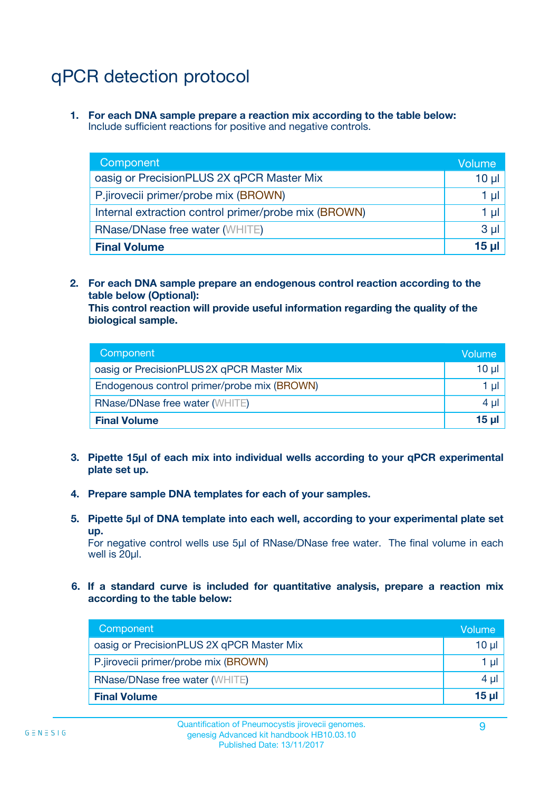# qPCR detection protocol

**1. For each DNA sample prepare a reaction mix according to the table below:** Include sufficient reactions for positive and negative controls.

| Component                                            | Volume   |
|------------------------------------------------------|----------|
| oasig or PrecisionPLUS 2X qPCR Master Mix            | $10 \mu$ |
| P.jirovecii primer/probe mix (BROWN)                 | 1 µI l   |
| Internal extraction control primer/probe mix (BROWN) | 1 µl     |
| <b>RNase/DNase free water (WHITE)</b>                | $3 \mu$  |
| <b>Final Volume</b>                                  | 15 µl    |

**2. For each DNA sample prepare an endogenous control reaction according to the table below (Optional):**

**This control reaction will provide useful information regarding the quality of the biological sample.**

| Component                                   | Volume          |
|---------------------------------------------|-----------------|
| oasig or PrecisionPLUS 2X qPCR Master Mix   | 10 µl           |
| Endogenous control primer/probe mix (BROWN) | 1 ul            |
| <b>RNase/DNase free water (WHITE)</b>       | $4 \mu$         |
| <b>Final Volume</b>                         | 15 <sub>µ</sub> |

- **3. Pipette 15µl of each mix into individual wells according to your qPCR experimental plate set up.**
- **4. Prepare sample DNA templates for each of your samples.**
- **5. Pipette 5µl of DNA template into each well, according to your experimental plate set up.**

For negative control wells use 5µl of RNase/DNase free water. The final volume in each well is 20ul.

**6. If a standard curve is included for quantitative analysis, prepare a reaction mix according to the table below:**

| Component                                 | Volume  |
|-------------------------------------------|---------|
| oasig or PrecisionPLUS 2X qPCR Master Mix | 10 µl   |
| P.jirovecii primer/probe mix (BROWN)      | 1 µI    |
| <b>RNase/DNase free water (WHITE)</b>     | $4 \mu$ |
| <b>Final Volume</b>                       | 15 µl   |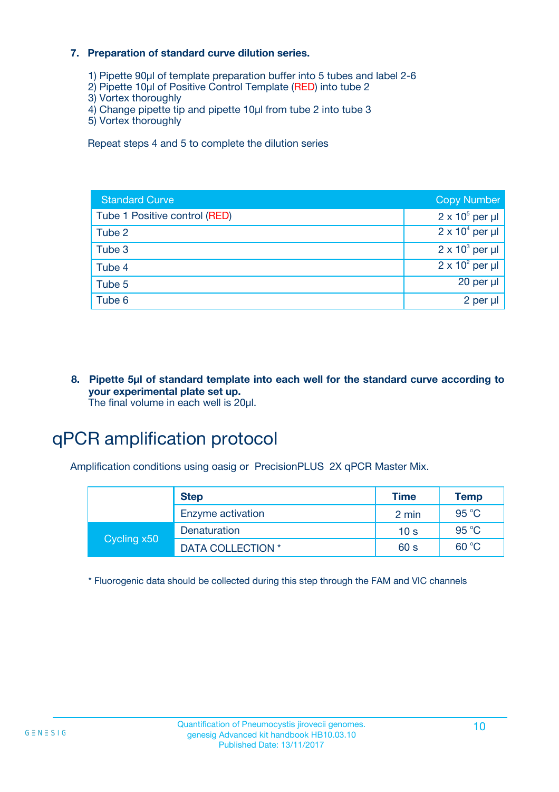#### **7. Preparation of standard curve dilution series.**

- 1) Pipette 90µl of template preparation buffer into 5 tubes and label 2-6
- 2) Pipette 10µl of Positive Control Template (RED) into tube 2
- 3) Vortex thoroughly
- 4) Change pipette tip and pipette 10µl from tube 2 into tube 3
- 5) Vortex thoroughly

Repeat steps 4 and 5 to complete the dilution series

| <b>Standard Curve</b>         | <b>Copy Number</b>     |
|-------------------------------|------------------------|
| Tube 1 Positive control (RED) | $2 \times 10^5$ per µl |
| Tube 2                        | $2 \times 10^4$ per µl |
| Tube 3                        | $2 \times 10^3$ per µl |
| Tube 4                        | $2 \times 10^2$ per µl |
| Tube 5                        | $20$ per $\mu$         |
| Tube 6                        | 2 per µl               |

**8. Pipette 5µl of standard template into each well for the standard curve according to your experimental plate set up.** The final volume in each well is 20µl.

# qPCR amplification protocol

Amplification conditions using oasig or PrecisionPLUS 2X qPCR Master Mix.

|             | <b>Step</b>       | <b>Time</b>     | <b>Temp</b> |
|-------------|-------------------|-----------------|-------------|
|             | Enzyme activation | 2 min           | 95 °C       |
| Cycling x50 | Denaturation      | 10 <sub>s</sub> | 95 °C       |
|             | DATA COLLECTION * | 60 s            | 60 °C       |

\* Fluorogenic data should be collected during this step through the FAM and VIC channels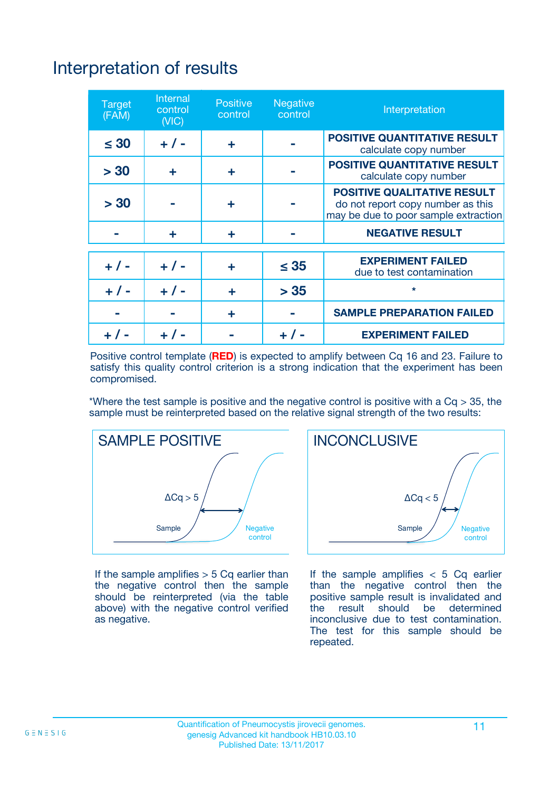# Interpretation of results

| <b>Target</b><br>(FAM) | <b>Internal</b><br>control<br>(NIC) | <b>Positive</b><br>control | <b>Negative</b><br>control | Interpretation                                                                                                  |
|------------------------|-------------------------------------|----------------------------|----------------------------|-----------------------------------------------------------------------------------------------------------------|
| $\leq 30$              | $+ 1 -$                             | ÷                          |                            | <b>POSITIVE QUANTITATIVE RESULT</b><br>calculate copy number                                                    |
| > 30                   | ٠                                   | ÷                          |                            | <b>POSITIVE QUANTITATIVE RESULT</b><br>calculate copy number                                                    |
| > 30                   |                                     | ÷                          |                            | <b>POSITIVE QUALITATIVE RESULT</b><br>do not report copy number as this<br>may be due to poor sample extraction |
|                        | ÷                                   | ÷                          |                            | <b>NEGATIVE RESULT</b>                                                                                          |
| $+ 1 -$                | $+ 1 -$                             | ÷                          | $\leq$ 35                  | <b>EXPERIMENT FAILED</b><br>due to test contamination                                                           |
| $+$ / -                | $+ 1 -$                             | ÷                          | > 35                       | $\star$                                                                                                         |
|                        |                                     | ÷                          |                            | <b>SAMPLE PREPARATION FAILED</b>                                                                                |
|                        |                                     |                            | $+$ /                      | <b>EXPERIMENT FAILED</b>                                                                                        |

Positive control template (**RED**) is expected to amplify between Cq 16 and 23. Failure to satisfy this quality control criterion is a strong indication that the experiment has been compromised.

\*Where the test sample is positive and the negative control is positive with a  $Ca > 35$ , the sample must be reinterpreted based on the relative signal strength of the two results:



If the sample amplifies  $> 5$  Cq earlier than the negative control then the sample should be reinterpreted (via the table above) with the negative control verified as negative.



If the sample amplifies  $< 5$  Cq earlier than the negative control then the positive sample result is invalidated and<br>the result should be determined  $the$  result should be inconclusive due to test contamination. The test for this sample should be repeated.